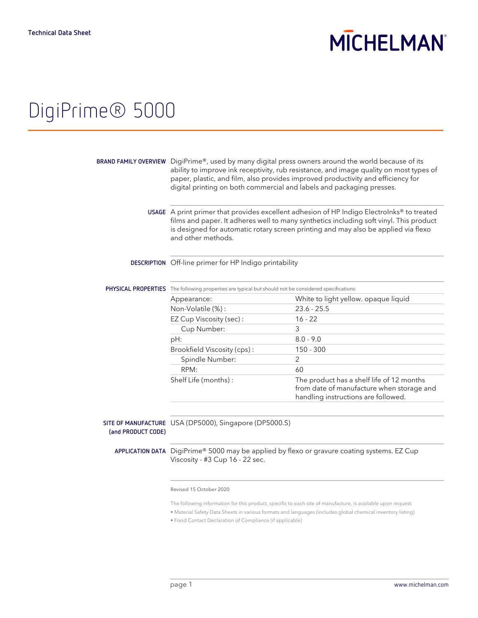# **MICHELMAN**

## DigiPrime® 5000

|                    | BRAND FAMILY OVERVIEW DigiPrime®, used by many digital press owners around the world because of its<br>ability to improve ink receptivity, rub resistance, and image quality on most types of<br>paper, plastic, and film, also provides improved productivity and efficiency for<br>digital printing on both commercial and labels and packaging presses. |                                                                                                                               |
|--------------------|------------------------------------------------------------------------------------------------------------------------------------------------------------------------------------------------------------------------------------------------------------------------------------------------------------------------------------------------------------|-------------------------------------------------------------------------------------------------------------------------------|
|                    | USAGE A print primer that provides excellent adhesion of HP Indigo Electrolnks® to treated<br>films and paper. It adheres well to many synthetics including soft vinyl. This product<br>is designed for automatic rotary screen printing and may also be applied via flexo<br>and other methods.                                                           |                                                                                                                               |
|                    | DESCRIPTION Off-line primer for HP Indigo printability                                                                                                                                                                                                                                                                                                     |                                                                                                                               |
|                    | PHYSICAL PROPERTIES The following properties are typical but should not be considered specifications:                                                                                                                                                                                                                                                      |                                                                                                                               |
|                    | Appearance:                                                                                                                                                                                                                                                                                                                                                | White to light yellow. opaque liquid                                                                                          |
|                    | Non-Volatile (%):                                                                                                                                                                                                                                                                                                                                          | $23.6 - 25.5$                                                                                                                 |
|                    | EZ Cup Viscosity (sec):                                                                                                                                                                                                                                                                                                                                    | $16 - 22$                                                                                                                     |
|                    | Cup Number:                                                                                                                                                                                                                                                                                                                                                | 3                                                                                                                             |
|                    | pH:                                                                                                                                                                                                                                                                                                                                                        | $8.0 - 9.0$                                                                                                                   |
|                    | Brookfield Viscosity (cps):                                                                                                                                                                                                                                                                                                                                | $150 - 300$                                                                                                                   |
|                    | Spindle Number:                                                                                                                                                                                                                                                                                                                                            | 2                                                                                                                             |
|                    | RPM:                                                                                                                                                                                                                                                                                                                                                       | 60                                                                                                                            |
|                    | Shelf Life (months):                                                                                                                                                                                                                                                                                                                                       | The product has a shelf life of 12 months<br>from date of manufacture when storage and<br>handling instructions are followed. |
| (and PRODUCT CODE) | SITE OF MANUFACTURE USA (DP5000), Singapore (DP5000.S)                                                                                                                                                                                                                                                                                                     |                                                                                                                               |
|                    | Viscosity - #3 Cup 16 - 22 sec.                                                                                                                                                                                                                                                                                                                            | APPLICATION DATA DigiPrime® 5000 may be applied by flexo or gravure coating systems. EZ Cup                                   |

Revised 15 October 2020

The following information for this product, specific to each site of manufacture, is available upon request:

• Material Safety Data Sheets in various formats and languages (includes global chemical inventory listing)

• Food Contact Declaration of Compliance (if applicable)